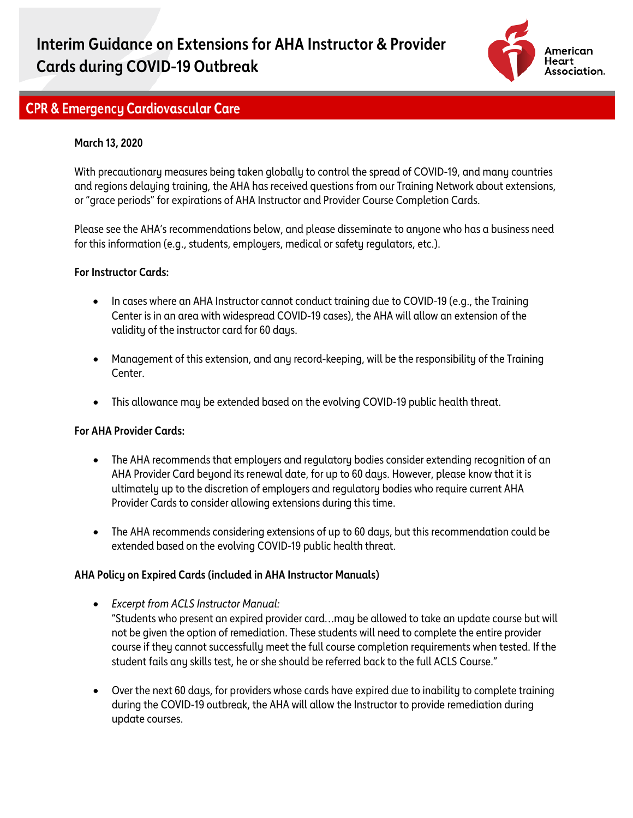

## **CPR & Emergency Cardiovascular Care**

### **March 13, 2020**

With precautionary measures being taken globally to control the spread of COVID-19, and many countries and regions delaying training, the AHA has received questions from our Training Network about extensions, or "grace periods" for expirations of AHA Instructor and Provider Course Completion Cards.

Please see the AHA's recommendations below, and please disseminate to anyone who has a business need for this information (e.g., students, employers, medical or safety regulators, etc.).

#### **For Instructor Cards:**

- In cases where an AHA Instructor cannot conduct training due to COVID-19 (e.g., the Training Center is in an area with widespread COVID-19 cases), the AHA will allow an extension of the validity of the instructor card for 60 days.
- Management of this extension, and any record-keeping, will be the responsibility of the Training Center.
- This allowance may be extended based on the evolving COVID-19 public health threat.

#### **For AHA Provider Cards:**

- The AHA recommends that employers and regulatory bodies consider extending recognition of an AHA Provider Card beyond its renewal date, for up to 60 days. However, please know that it is ultimately up to the discretion of employers and regulatory bodies who require current AHA Provider Cards to consider allowing extensions during this time.
- The AHA recommends considering extensions of up to 60 days, but this recommendation could be extended based on the evolving COVID-19 public health threat.

#### **AHA Policy on Expired Cards (included in AHA Instructor Manuals)**

- *Excerpt from ACLS Instructor Manual:*  "Students who present an expired provider card…may be allowed to take an update course but will not be given the option of remediation. These students will need to complete the entire provider course if they cannot successfully meet the full course completion requirements when tested. If the student fails any skills test, he or she should be referred back to the full ACLS Course."
- Over the next 60 days, for providers whose cards have expired due to inability to complete training during the COVID-19 outbreak, the AHA will allow the Instructor to provide remediation during update courses.